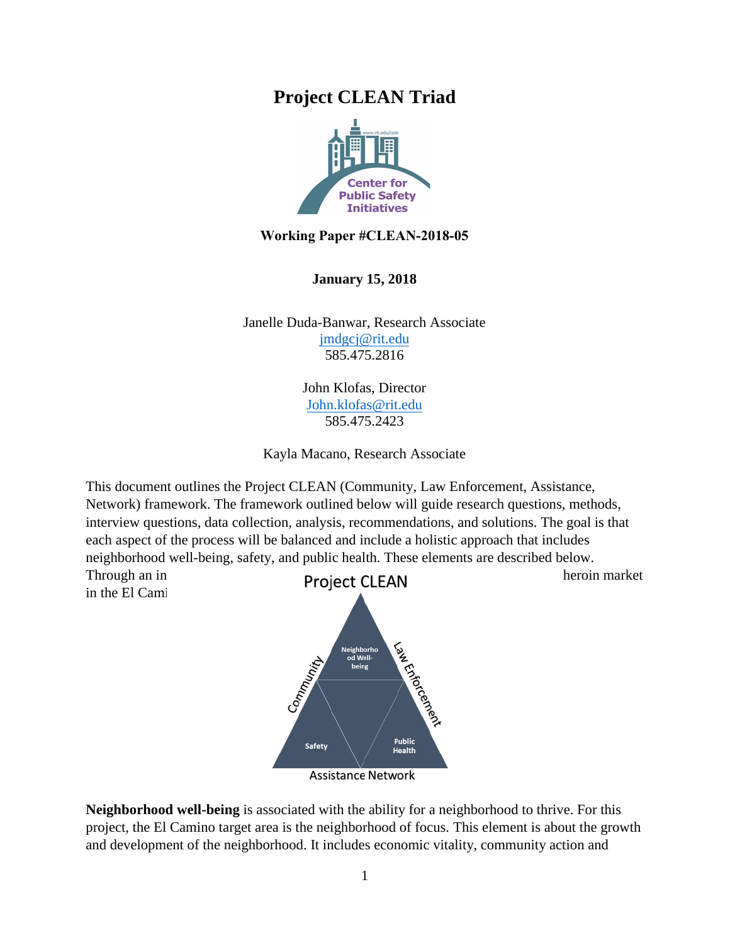## **Project CLEAN Triad**



## **Working Paper #CLEAN-2018-05**

**January 15, 2018** 

Janelle Duda-Banwar, Research Associate jmdgcj@rit.edu [585.475.2816](mailto:John.klofas@rit.edu) 

> John Klofas, Director John.klofas@rit.edu 585.475.2423

Kayla Macano, Research Associate

This document outlines the Project CLEAN (Community, Law Enforcement, Assistance, Network) framework. The framework outlined below will guide research questions, methods, interview questions, data collection, analysis, recommendations, and solutions. The goal is that each aspect of the process will be balanced and include a holistic approach that includes neighborhood well-being, safety, and public health. These elements are described below.

in the El Cami



**Neighborhood well-being** is associated with the ability for a neighborhood to thrive. For this project, the El Camino target area is the neighborhood of focus. This element is about the growth and development of the neighborhood. It includes economic vitality, community action and